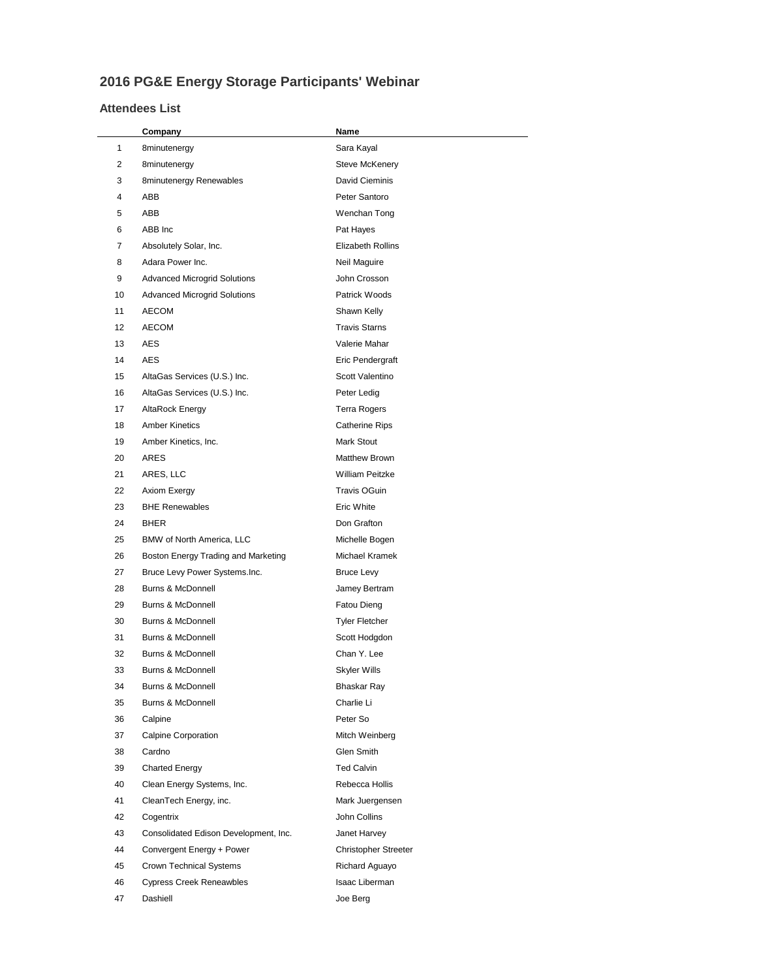## **2016 PG&E Energy Storage Participants' Webinar**

## **Attendees List**

|          | Company                                | Name                         |
|----------|----------------------------------------|------------------------------|
| 1        | 8minutenergy                           | Sara Kayal                   |
| 2        | 8minutenergy                           | <b>Steve McKenery</b>        |
| 3        | 8minutenergy Renewables                | David Cieminis               |
| 4        | ABB                                    | Peter Santoro                |
| 5        | ABB                                    | Wenchan Tong                 |
| 6        | ABB Inc                                | Pat Hayes                    |
| 7        | Absolutely Solar, Inc.                 | <b>Elizabeth Rollins</b>     |
| 8        | Adara Power Inc.                       | Neil Maguire                 |
| 9        | <b>Advanced Microgrid Solutions</b>    | John Crosson                 |
| 10       | <b>Advanced Microgrid Solutions</b>    | Patrick Woods                |
| 11       | AECOM                                  | Shawn Kelly                  |
| 12       | <b>AECOM</b>                           | <b>Travis Starns</b>         |
| 13       | AES                                    | Valerie Mahar                |
| 14       | AES                                    | Eric Pendergraft             |
| 15       | AltaGas Services (U.S.) Inc.           | Scott Valentino              |
| 16       | AltaGas Services (U.S.) Inc.           | Peter Ledig                  |
| 17       | AltaRock Energy                        | <b>Terra Rogers</b>          |
| 18       | <b>Amber Kinetics</b>                  | <b>Catherine Rips</b>        |
| 19       | Amber Kinetics, Inc.                   | Mark Stout                   |
| 20       | ARES                                   | <b>Matthew Brown</b>         |
| 21       | ARES, LLC                              | <b>William Peitzke</b>       |
| 22       | Axiom Exergy                           | Travis OGuin                 |
| 23       | <b>BHE Renewables</b>                  | Eric White                   |
| 24       | BHER                                   | Don Grafton                  |
| 25       | BMW of North America, LLC              | Michelle Bogen               |
| 26       | Boston Energy Trading and Marketing    | Michael Kramek               |
| 27       | Bruce Levy Power Systems.Inc.          | Bruce Levy                   |
| 28       | <b>Burns &amp; McDonnell</b>           | Jamey Bertram                |
| 29       | <b>Burns &amp; McDonnell</b>           | Fatou Dieng                  |
| 30       | <b>Burns &amp; McDonnell</b>           | <b>Tyler Fletcher</b>        |
| 31<br>32 | Burns & McDonnell<br>Burns & McDonnell | Scott Hodgdon<br>Chan Y. Lee |
| 33       | <b>Burns &amp; McDonnell</b>           |                              |
| 34       | Burns & McDonnell                      | Skyler Wills<br>Bhaskar Ray  |
| 35       | Burns & McDonnell                      | Charlie Li                   |
| 36       | Calpine                                | Peter So                     |
| 37       | Calpine Corporation                    | Mitch Weinberg               |
| 38       | Cardno                                 | Glen Smith                   |
| 39       | <b>Charted Energy</b>                  | <b>Ted Calvin</b>            |
| 40       | Clean Energy Systems, Inc.             | Rebecca Hollis               |
| 41       | CleanTech Energy, inc.                 | Mark Juergensen              |
| 42       | Cogentrix                              | John Collins                 |
| 43       | Consolidated Edison Development, Inc.  | Janet Harvey                 |
| 44       | Convergent Energy + Power              | Christopher Streeter         |
| 45       | <b>Crown Technical Systems</b>         | Richard Aguayo               |
| 46       | <b>Cypress Creek Reneawbles</b>        | Isaac Liberman               |
| 47       | Dashiell                               | Joe Berg                     |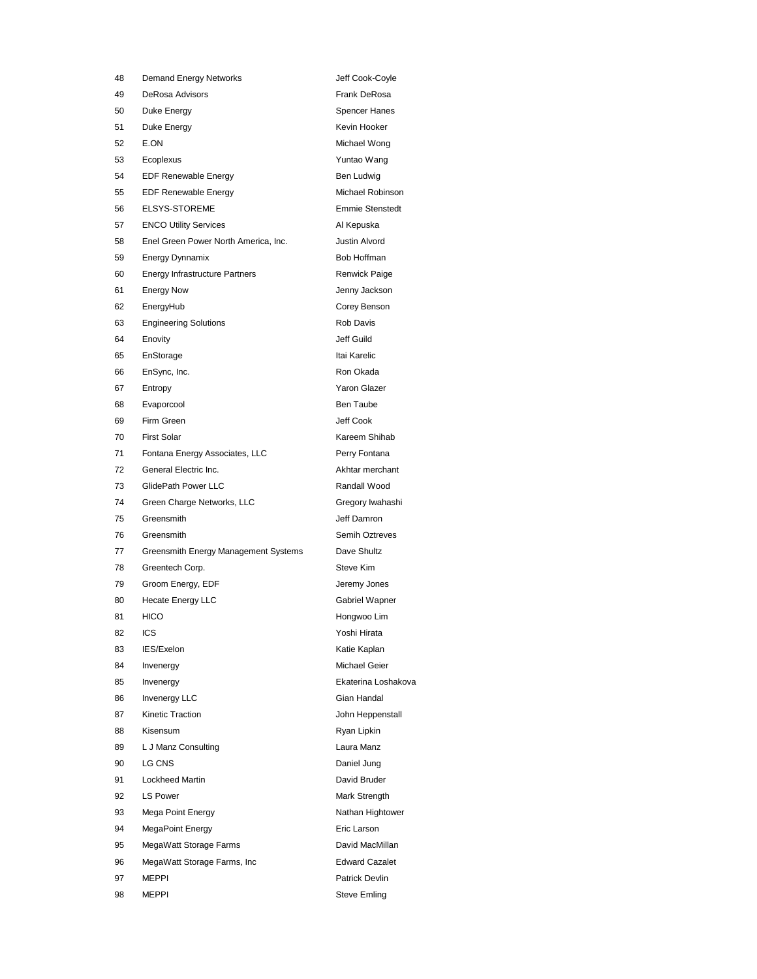| 48 | <b>Demand Energy Networks</b>         | Jeff Cook-Coyle        |
|----|---------------------------------------|------------------------|
| 49 | <b>DeRosa Advisors</b>                | Frank DeRosa           |
| 50 | Duke Enerav                           | <b>Spencer Hanes</b>   |
| 51 | Duke Energy                           | Kevin Hooker           |
| 52 | E.ON                                  | Michael Wong           |
| 53 | Ecoplexus                             | Yuntao Wang            |
| 54 | <b>EDF Renewable Energy</b>           | Ben Ludwig             |
| 55 | <b>EDF Renewable Energy</b>           | Michael Robinson       |
| 56 | <b>ELSYS-STOREME</b>                  | <b>Emmie Stenstedt</b> |
| 57 | <b>ENCO Utility Services</b>          | Al Kepuska             |
| 58 | Enel Green Power North America, Inc.  | <b>Justin Alvord</b>   |
| 59 | <b>Energy Dynnamix</b>                | Bob Hoffman            |
| 60 | <b>Energy Infrastructure Partners</b> | Renwick Paige          |
| 61 | <b>Energy Now</b>                     | Jenny Jackson          |
| 62 | EnergyHub                             | Corey Benson           |
| 63 | <b>Engineering Solutions</b>          | <b>Rob Davis</b>       |
| 64 | Enovity                               | Jeff Guild             |
| 65 | EnStorage                             | Itai Karelic           |
| 66 | EnSync, Inc.                          | Ron Okada              |
| 67 | Entropy                               | Yaron Glazer           |
| 68 | Evaporcool                            | <b>Ben Taube</b>       |
| 69 | Firm Green                            | Jeff Cook              |
| 70 | <b>First Solar</b>                    | Kareem Shihab          |
| 71 |                                       |                        |
|    | Fontana Energy Associates, LLC        | Perry Fontana          |
| 72 | General Electric Inc.                 | Akhtar merchant        |
| 73 | GlidePath Power LLC                   | Randall Wood           |
| 74 | Green Charge Networks, LLC            | Gregory Iwahashi       |
| 75 | Greensmith                            | Jeff Damron            |
| 76 | Greensmith                            | Semih Oztreves         |
| 77 | Greensmith Energy Management Systems  | Dave Shultz            |
| 78 | Greentech Corp.                       | Steve Kim              |
| 79 | Groom Energy, EDF                     | Jeremy Jones           |
| 80 | <b>Hecate Energy LLC</b>              | Gabriel Wapner         |
| 81 | <b>HICO</b>                           | Hongwoo Lim            |
| 82 | ICS                                   | Yoshi Hirata           |
| 83 | IES/Exelon                            | Katie Kaplan           |
| 84 | Invenergy                             | Michael Geier          |
| 85 | Invenergy                             | Ekaterina Loshakova    |
| 86 | <b>Invenergy LLC</b>                  | Gian Handal            |
| 87 | Kinetic Traction                      | John Heppenstall       |
| 88 | Kisensum                              | Ryan Lipkin            |
| 89 | L J Manz Consulting                   | Laura Manz             |
| 90 | LG CNS                                | Daniel Jung            |
| 91 | <b>Lockheed Martin</b>                | David Bruder           |
| 92 | <b>LS Power</b>                       | Mark Strength          |
| 93 | Mega Point Energy                     | Nathan Hightower       |
| 94 | MegaPoint Energy                      | Eric Larson            |
| 95 | MegaWatt Storage Farms                | David MacMillan        |
| 96 | MegaWatt Storage Farms, Inc.          | <b>Edward Cazalet</b>  |
| 97 | <b>MEPPI</b>                          | Patrick Devlin         |
| 98 | <b>MEPPI</b>                          | <b>Steve Emling</b>    |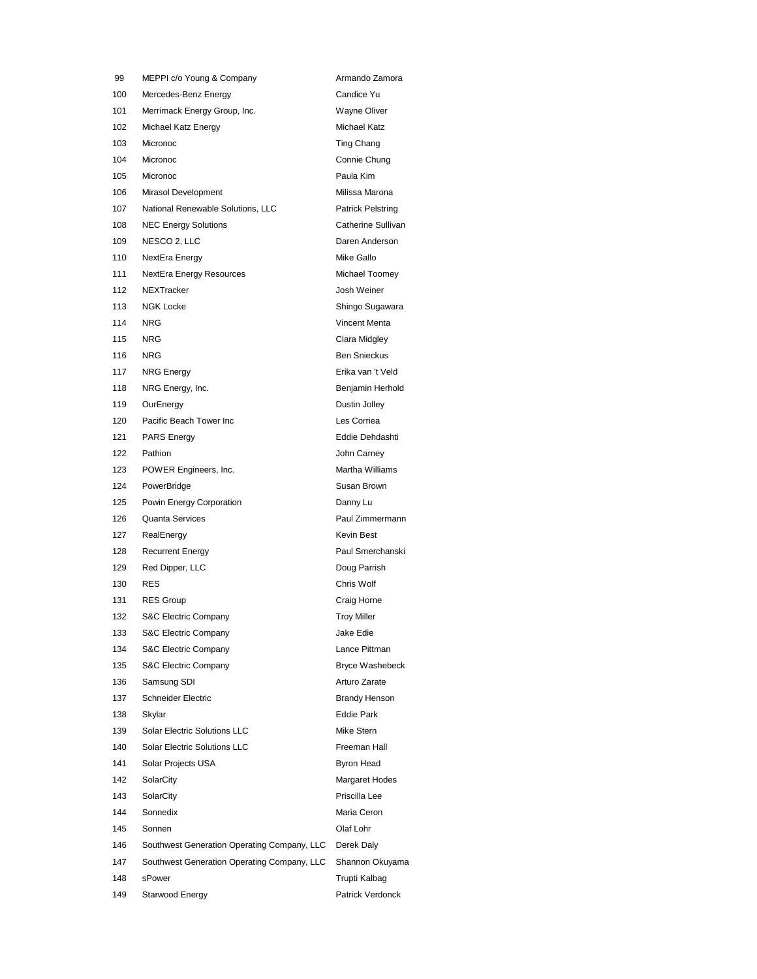99 MEPPI c/o Young & Company **Armando Zamora** 100 Mercedes-Benz Energy Candice Yu 101 Merrimack Energy Group, Inc. **Wayne Oliver** 102 Michael Katz Energy **Michael Katz** 103 Micronoc **Ting Chang** 104 Micronoc Connie Chung 105 Micronoc **Paula Kim** 106 Mirasol Development **Milissa Marona** 107 National Renewable Solutions, LLC Patrick Pelstring 108 NEC Energy Solutions **Catherine Sullivan** 109 NESCO 2, LLC Daren Anderson 110 NextEra Energy **Mike Gallo** Mike Gallo 111 NextEra Energy Resources Michael Toomey 112 NEXTracker **Josh Weiner** 113 NGK Locke Shingo Sugawara 114 NRG Vincent Menta 115 NRG Clara Midgley 116 NRG Ben Snieckus 117 NRG Energy **Erika van 't Veld** 118 NRG Energy, Inc. **Benjamin Herhold** 119 OurEnergy Dustin Jolley 120 Pacific Beach Tower Inc **Les Corriea** 121 PARS Energy **Eddie Dehdashti** 122 Pathion **Disk Report Follows** John Carney 123 POWER Engineers, Inc. **Martha Williams** 124 PowerBridge **Susan Brown** 125 Powin Energy Corporation **Danny Luke Communist Contract Contract Contract Contract Contract Contract Contract** 126 Quanta Services **Paul Zimmermann** 127 RealEnergy **Kevin Best** 128 Recurrent Energy **Paul Smerchanski** 129 Red Dipper, LLC **Doug Parrish** 130 RES Chris Wolf 131 RES Group **Craig Horne** 132 S&C Electric Company Troy Miller 133 S&C Electric Company Jake Edie 134 S&C Electric Company Lance Pittman 135 S&C Electric Company Bryce Washebeck 136 Samsung SDI Arturo Zarate 137 Schneider Electric **Brandy Henson** 138 Skylar Eddie Park 139 Solar Electric Solutions LLC Mike Stern 140 Solar Electric Solutions LLC Freeman Hall 141 Solar Projects USA Byron Head 142 SolarCity **Margaret Hodes** 143 SolarCity **Priscilla** Lee 144 Sonnedix Maria Ceron 145 Sonnen Olaf Lohr 146 Southwest Generation Operating Company, LLC Derek Daly 147 Southwest Generation Operating Company, LLC Shannon Okuyama 148 sPower **Trupti Kalbag** 149 Starwood Energy **Patrick Verdonck**